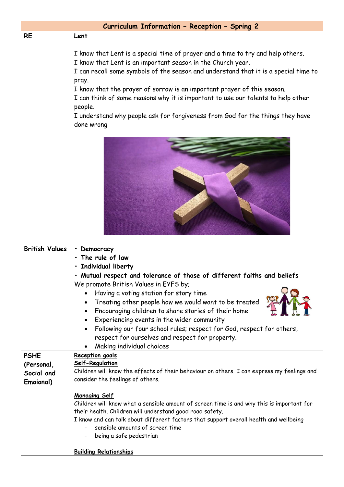| Curriculum Information - Reception - Spring 2 |                                                                                                                                                                                                                                                                                                                                                                                                                                                                                                                         |  |  |  |
|-----------------------------------------------|-------------------------------------------------------------------------------------------------------------------------------------------------------------------------------------------------------------------------------------------------------------------------------------------------------------------------------------------------------------------------------------------------------------------------------------------------------------------------------------------------------------------------|--|--|--|
| <b>RE</b>                                     | <u>Lent</u>                                                                                                                                                                                                                                                                                                                                                                                                                                                                                                             |  |  |  |
|                                               | I know that Lent is a special time of prayer and a time to try and help others.<br>I know that Lent is an important season in the Church year.<br>I can recall some symbols of the season and understand that it is a special time to<br>pray.<br>I know that the prayer of sorrow is an important prayer of this season.<br>I can think of some reasons why it is important to use our talents to help other<br>people.<br>I understand why people ask for forgiveness from God for the things they have<br>done wrong |  |  |  |
|                                               |                                                                                                                                                                                                                                                                                                                                                                                                                                                                                                                         |  |  |  |
| <b>British Values</b>                         | • Democracy                                                                                                                                                                                                                                                                                                                                                                                                                                                                                                             |  |  |  |
|                                               | · The rule of law                                                                                                                                                                                                                                                                                                                                                                                                                                                                                                       |  |  |  |
|                                               | · Individual liberty                                                                                                                                                                                                                                                                                                                                                                                                                                                                                                    |  |  |  |
|                                               | · Mutual respect and tolerance of those of different faiths and beliefs<br>We promote British Values in EYFS by;                                                                                                                                                                                                                                                                                                                                                                                                        |  |  |  |
|                                               | Having a voting station for story time<br>Treating other people how we would want to be treated                                                                                                                                                                                                                                                                                                                                                                                                                         |  |  |  |
|                                               | Encouraging children to share stories of their home                                                                                                                                                                                                                                                                                                                                                                                                                                                                     |  |  |  |
|                                               | Experiencing events in the wider community<br>$\bullet$<br>Following our four school rules; respect for God, respect for others,                                                                                                                                                                                                                                                                                                                                                                                        |  |  |  |
|                                               | respect for ourselves and respect for property.                                                                                                                                                                                                                                                                                                                                                                                                                                                                         |  |  |  |
|                                               | Making individual choices                                                                                                                                                                                                                                                                                                                                                                                                                                                                                               |  |  |  |
| <b>PSHE</b>                                   | Reception goals                                                                                                                                                                                                                                                                                                                                                                                                                                                                                                         |  |  |  |
| (Personal,                                    | Self-Regulation                                                                                                                                                                                                                                                                                                                                                                                                                                                                                                         |  |  |  |
| Social and                                    | Children will know the effects of their behaviour on others. I can express my feelings and                                                                                                                                                                                                                                                                                                                                                                                                                              |  |  |  |
| Emoional)                                     | consider the feelings of others.                                                                                                                                                                                                                                                                                                                                                                                                                                                                                        |  |  |  |
|                                               | <b>Managing Self</b><br>Children will know what a sensible amount of screen time is and why this is important for<br>their health. Children will understand good road safety,<br>I know and can talk about different factors that support overall health and wellbeing<br>sensible amounts of screen time<br>being a safe pedestrian                                                                                                                                                                                    |  |  |  |
|                                               | <b>Building Relationships</b>                                                                                                                                                                                                                                                                                                                                                                                                                                                                                           |  |  |  |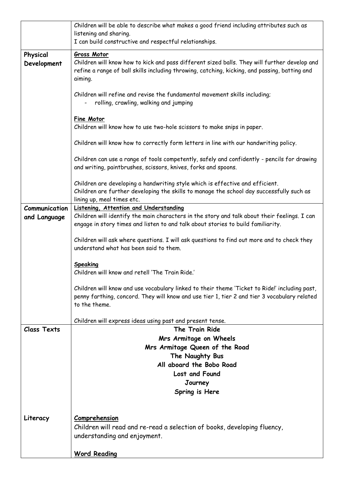|                    | Children will be able to describe what makes a good friend including attributes such as                                |  |  |  |
|--------------------|------------------------------------------------------------------------------------------------------------------------|--|--|--|
|                    | listening and sharing.                                                                                                 |  |  |  |
|                    | I can build constructive and respectful relationships.                                                                 |  |  |  |
| Physical           | <b>Gross Motor</b>                                                                                                     |  |  |  |
| Development        | Children will know how to kick and pass different sized balls. They will further develop and                           |  |  |  |
|                    | refine a range of ball skills including throwing, catching, kicking, and passing, batting and                          |  |  |  |
|                    | aiming.                                                                                                                |  |  |  |
|                    |                                                                                                                        |  |  |  |
|                    | Children will refine and revise the fundamental movement skills including;                                             |  |  |  |
|                    | rolling, crawling, walking and jumping                                                                                 |  |  |  |
|                    |                                                                                                                        |  |  |  |
|                    | <b>Fine Motor</b><br>Children will know how to use two-hole scissors to make snips in paper.                           |  |  |  |
|                    |                                                                                                                        |  |  |  |
|                    | Children will know how to correctly form letters in line with our handwriting policy.                                  |  |  |  |
|                    |                                                                                                                        |  |  |  |
|                    | Children can use a range of tools competently, safely and confidently - pencils for drawing                            |  |  |  |
|                    | and writing, paintbrushes, scissors, knives, forks and spoons.                                                         |  |  |  |
|                    |                                                                                                                        |  |  |  |
|                    | Children are developing a handwriting style which is effective and efficient.                                          |  |  |  |
|                    | Children are further developing the skills to manage the school day successfully such as<br>lining up, meal times etc. |  |  |  |
| Communication      | Listening, Attention and Understanding                                                                                 |  |  |  |
|                    | Children will identify the main characters in the story and talk about their feelings. I can                           |  |  |  |
| and Language       | engage in story times and listen to and talk about stories to build familiarity.                                       |  |  |  |
|                    |                                                                                                                        |  |  |  |
|                    | Children will ask where questions. I will ask questions to find out more and to check they                             |  |  |  |
|                    | understand what has been said to them.                                                                                 |  |  |  |
|                    |                                                                                                                        |  |  |  |
|                    | Speaking                                                                                                               |  |  |  |
|                    | Children will know and retell 'The Train Ride.'                                                                        |  |  |  |
|                    | Children will know and use vocabulary linked to their theme 'Ticket to Ride!' including past,                          |  |  |  |
|                    | penny farthing, concord. They will know and use tier 1, tier 2 and tier 3 vocabulary related                           |  |  |  |
|                    | to the theme.                                                                                                          |  |  |  |
|                    |                                                                                                                        |  |  |  |
|                    | Children will express ideas using past and present tense.                                                              |  |  |  |
| <b>Class Texts</b> | The Train Ride                                                                                                         |  |  |  |
|                    | Mrs Armitage on Wheels                                                                                                 |  |  |  |
|                    | Mrs Armitage Queen of the Road                                                                                         |  |  |  |
|                    | The Naughty Bus                                                                                                        |  |  |  |
|                    | All aboard the Bobo Road                                                                                               |  |  |  |
|                    | Lost and Found                                                                                                         |  |  |  |
|                    | Journey                                                                                                                |  |  |  |
|                    | Spring is Here                                                                                                         |  |  |  |
|                    |                                                                                                                        |  |  |  |
|                    |                                                                                                                        |  |  |  |
| Literacy           | Comprehension                                                                                                          |  |  |  |
|                    | Children will read and re-read a selection of books, developing fluency,                                               |  |  |  |
|                    | understanding and enjoyment.                                                                                           |  |  |  |
|                    |                                                                                                                        |  |  |  |
|                    | <b>Word Reading</b>                                                                                                    |  |  |  |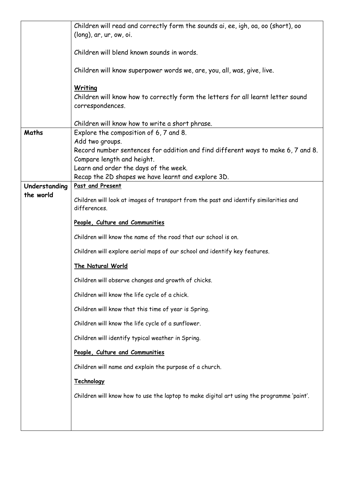|               | Children will read and correctly form the sounds ai, ee, igh, oa, oo (short), oo<br>(long), ar, ur, ow, oi. |  |  |
|---------------|-------------------------------------------------------------------------------------------------------------|--|--|
|               | Children will blend known sounds in words.                                                                  |  |  |
|               | Children will know superpower words we, are, you, all, was, give, live.                                     |  |  |
|               | Writing                                                                                                     |  |  |
|               | Children will know how to correctly form the letters for all learnt letter sound                            |  |  |
|               | correspondences.                                                                                            |  |  |
|               | Children will know how to write a short phrase.                                                             |  |  |
| Maths         | Explore the composition of 6, 7 and 8.<br>Add two groups.                                                   |  |  |
|               | Record number sentences for addition and find different ways to make 6, 7 and 8.                            |  |  |
|               | Compare length and height.                                                                                  |  |  |
|               | Learn and order the days of the week.                                                                       |  |  |
| Understanding | Recap the 2D shapes we have learnt and explore 3D.<br>Past and Present                                      |  |  |
| the world     |                                                                                                             |  |  |
|               | Children will look at images of transport from the past and identify similarities and<br>differences.       |  |  |
|               | People, Culture and Communities                                                                             |  |  |
|               | Children will know the name of the road that our school is on.                                              |  |  |
|               | Children will explore aerial maps of our school and identify key features.                                  |  |  |
|               | The Natural World                                                                                           |  |  |
|               | Children will observe changes and growth of chicks.                                                         |  |  |
|               | Children will know the life cycle of a chick.                                                               |  |  |
|               | Children will know that this time of year is Spring.                                                        |  |  |
|               | Children will know the life cycle of a sunflower.                                                           |  |  |
|               | Children will identify typical weather in Spring.                                                           |  |  |
|               | People, Culture and Communities                                                                             |  |  |
|               | Children will name and explain the purpose of a church.                                                     |  |  |
|               | Technology                                                                                                  |  |  |
|               | Children will know how to use the laptop to make digital art using the programme 'paint'.                   |  |  |
|               |                                                                                                             |  |  |
|               |                                                                                                             |  |  |